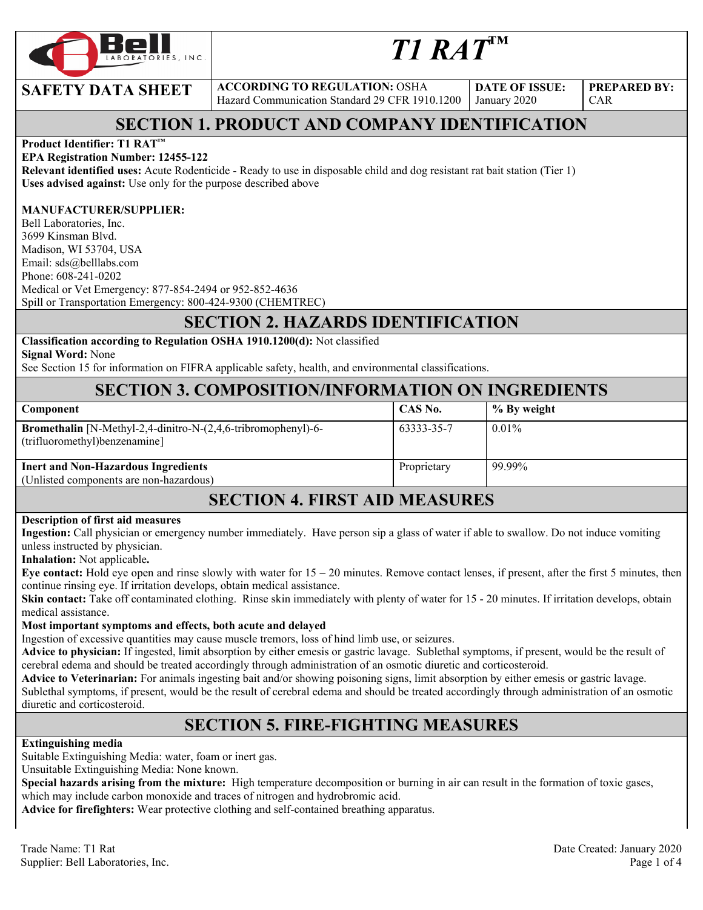

# *T1 RAT™*

**SAFETY DATA SHEET** ACCORDING TO REGULATION: OSHA Hazard Communication Standard 29 CFR 1910.1200

**DATE OF ISSUE:**  January 2020

**PREPARED BY:**  CAR

### **SECTION 1. PRODUCT AND COMPANY IDENTIFICATION**

#### **Product Identifier: T1 RAT™**

#### **EPA Registration Number: 12455-122**

**Relevant identified uses:** Acute Rodenticide - Ready to use in disposable child and dog resistant rat bait station (Tier 1) **Uses advised against:** Use only for the purpose described above

#### **MANUFACTURER/SUPPLIER:**

Bell Laboratories, Inc. 3699 Kinsman Blvd. Madison, WI 53704, USA Email: sds@belllabs.com Phone: 608-241-0202 Medical or Vet Emergency: 877-854-2494 or 952-852-4636 Spill or Transportation Emergency: 800-424-9300 (CHEMTREC)

### **SECTION 2. HAZARDS IDENTIFICATION**

### **Classification according to Regulation OSHA 1910.1200(d):** Not classified

**Signal Word:** None

See Section 15 for information on FIFRA applicable safety, health, and environmental classifications.

### **SECTION 3. COMPOSITION/INFORMATION ON INGREDIENTS**

| Component                                                                                             | CAS No.     | % By weight |
|-------------------------------------------------------------------------------------------------------|-------------|-------------|
| <b>Bromethalin</b> [N-Methyl-2,4-dinitro-N-(2,4,6-tribromophenyl)-6-<br>(trifluoromethyl)benzenamine] | 63333-35-7  | $0.01\%$    |
| <b>Inert and Non-Hazardous Ingredients</b><br>(Unlisted components are non-hazardous)                 | Proprietary | 99.99%      |
|                                                                                                       |             |             |

### **SECTION 4. FIRST AID MEASURES**

#### **Description of first aid measures**

**Ingestion:** Call physician or emergency number immediately. Have person sip a glass of water if able to swallow. Do not induce vomiting unless instructed by physician.

**Inhalation:** Not applicable**.** 

**Eye contact:** Hold eye open and rinse slowly with water for  $15 - 20$  minutes. Remove contact lenses, if present, after the first 5 minutes, then continue rinsing eye. If irritation develops, obtain medical assistance.

**Skin contact:** Take off contaminated clothing. Rinse skin immediately with plenty of water for 15 - 20 minutes. If irritation develops, obtain medical assistance.

#### **Most important symptoms and effects, both acute and delayed**

Ingestion of excessive quantities may cause muscle tremors, loss of hind limb use, or seizures.

**Advice to physician:** If ingested, limit absorption by either emesis or gastric lavage. Sublethal symptoms, if present, would be the result of cerebral edema and should be treated accordingly through administration of an osmotic diuretic and corticosteroid.

**Advice to Veterinarian:** For animals ingesting bait and/or showing poisoning signs, limit absorption by either emesis or gastric lavage. Sublethal symptoms, if present, would be the result of cerebral edema and should be treated accordingly through administration of an osmotic diuretic and corticosteroid.

### **SECTION 5. FIRE-FIGHTING MEASURES**

#### **Extinguishing media**

Suitable Extinguishing Media: water, foam or inert gas.

Unsuitable Extinguishing Media: None known.

**Special hazards arising from the mixture:** High temperature decomposition or burning in air can result in the formation of toxic gases, which may include carbon monoxide and traces of nitrogen and hydrobromic acid.

**Advice for firefighters:** Wear protective clothing and self-contained breathing apparatus.

Trade Name: T1 Rat Date Created: January 2020 Supplier: Bell Laboratories, Inc. 2008. The state of the state of the state of the state of the state of the state of the state of the state of the state of the state of the state of the state of the state of the state of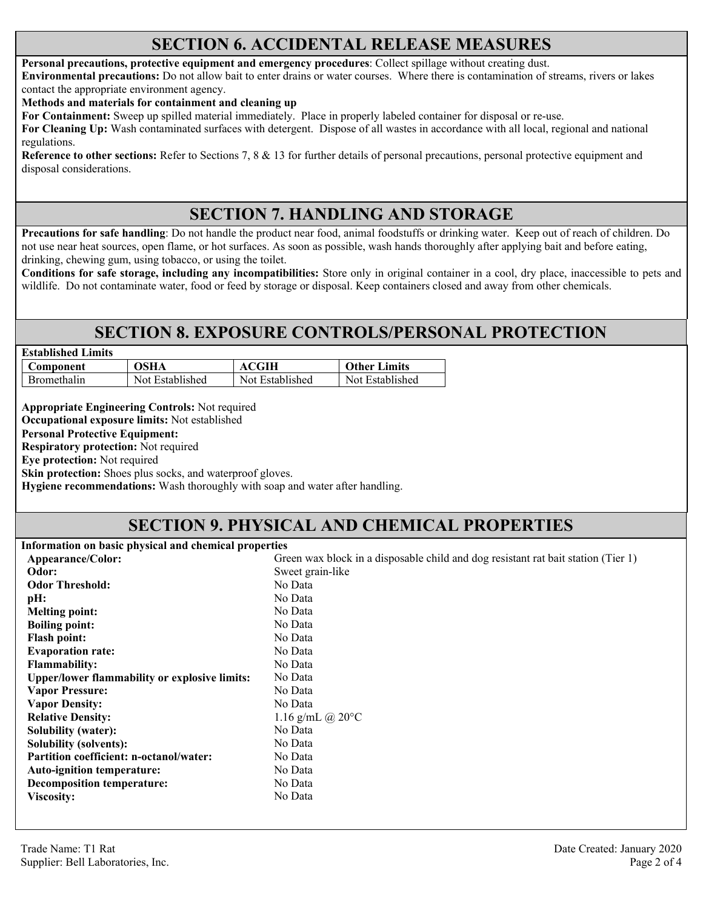### **SECTION 6. ACCIDENTAL RELEASE MEASURES**

#### **Personal precautions, protective equipment and emergency procedures**: Collect spillage without creating dust.

**Environmental precautions:** Do not allow bait to enter drains or water courses. Where there is contamination of streams, rivers or lakes contact the appropriate environment agency.

**Methods and materials for containment and cleaning up**

**For Containment:** Sweep up spilled material immediately. Place in properly labeled container for disposal or re-use.

**For Cleaning Up:** Wash contaminated surfaces with detergent. Dispose of all wastes in accordance with all local, regional and national regulations.

**Reference to other sections:** Refer to Sections 7, 8 & 13 for further details of personal precautions, personal protective equipment and disposal considerations.

### **SECTION 7. HANDLING AND STORAGE**

**Precautions for safe handling**: Do not handle the product near food, animal foodstuffs or drinking water. Keep out of reach of children. Do not use near heat sources, open flame, or hot surfaces. As soon as possible, wash hands thoroughly after applying bait and before eating, drinking, chewing gum, using tobacco, or using the toilet.

**Conditions for safe storage, including any incompatibilities:** Store only in original container in a cool, dry place, inaccessible to pets and wildlife. Do not contaminate water, food or feed by storage or disposal. Keep containers closed and away from other chemicals.

### **SECTION 8. EXPOSURE CONTROLS/PERSONAL PROTECTION**

| <b>Established Limits</b> |                 |                 |                     |
|---------------------------|-----------------|-----------------|---------------------|
| Component                 | <b>OSHA</b>     | ACGIH           | <b>Other Limits</b> |
| <b>Bromethalin</b>        | Not Established | Not Established | Not Established     |

**Appropriate Engineering Controls:** Not required

**Occupational exposure limits:** Not established

**Personal Protective Equipment:** 

**Respiratory protection:** Not required

**Eye protection:** Not required

**Skin protection:** Shoes plus socks, and waterproof gloves.

**Hygiene recommendations:** Wash thoroughly with soap and water after handling.

### **SECTION 9. PHYSICAL AND CHEMICAL PROPERTIES**

**Information on basic physical and chemical properties** 

| Appearance/Color:                                    | Green wax block in a disposable child and dog resistant rat bait station (Tier 1) |
|------------------------------------------------------|-----------------------------------------------------------------------------------|
| Odor:                                                | Sweet grain-like                                                                  |
| <b>Odor Threshold:</b>                               | No Data                                                                           |
| pH:                                                  | No Data                                                                           |
| <b>Melting point:</b>                                | No Data                                                                           |
| <b>Boiling point:</b>                                | No Data                                                                           |
| <b>Flash point:</b>                                  | No Data                                                                           |
| <b>Evaporation rate:</b>                             | No Data                                                                           |
| <b>Flammability:</b>                                 | No Data                                                                           |
| <b>Upper/lower flammability or explosive limits:</b> | No Data                                                                           |
| <b>Vapor Pressure:</b>                               | No Data                                                                           |
| <b>Vapor Density:</b>                                | No Data                                                                           |
| <b>Relative Density:</b>                             | 1.16 g/mL $(a)$ 20 $\degree$ C                                                    |
| <b>Solubility (water):</b>                           | No Data                                                                           |
| <b>Solubility (solvents):</b>                        | No Data                                                                           |
| Partition coefficient: n-octanol/water:              | No Data                                                                           |
| Auto-ignition temperature:                           | No Data                                                                           |
| <b>Decomposition temperature:</b>                    | No Data                                                                           |
| <b>Viscosity:</b>                                    | No Data                                                                           |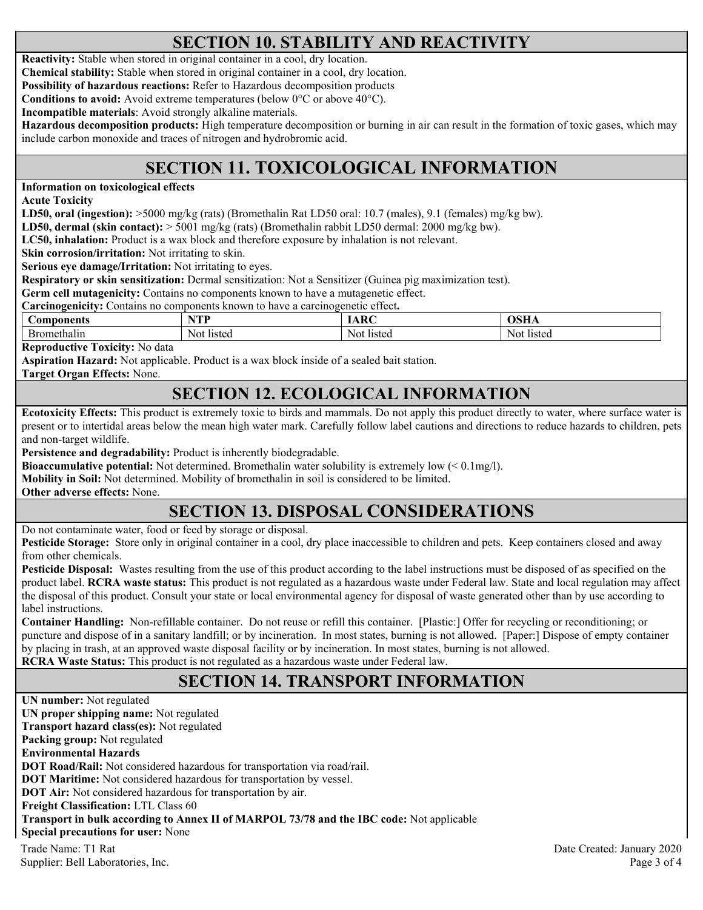### **SECTION 10. STABILITY AND REACTIVITY**

**Reactivity:** Stable when stored in original container in a cool, dry location.

**Chemical stability:** Stable when stored in original container in a cool, dry location.

**Possibility of hazardous reactions:** Refer to Hazardous decomposition products

**Conditions to avoid:** Avoid extreme temperatures (below 0°C or above 40°C).

**Incompatible materials**: Avoid strongly alkaline materials.

**Hazardous decomposition products:** High temperature decomposition or burning in air can result in the formation of toxic gases, which may include carbon monoxide and traces of nitrogen and hydrobromic acid.

## **SECTION 11. TOXICOLOGICAL INFORMATION**

**Information on toxicological effects** 

**Acute Toxicity** 

**LD50, oral (ingestion):** >5000 mg/kg (rats) (Bromethalin Rat LD50 oral: 10.7 (males), 9.1 (females) mg/kg bw).

**LD50, dermal (skin contact):** > 5001 mg/kg (rats) (Bromethalin rabbit LD50 dermal: 2000 mg/kg bw).

**LC50, inhalation:** Product is a wax block and therefore exposure by inhalation is not relevant.

**Skin corrosion/irritation:** Not irritating to skin.

**Serious eye damage/Irritation:** Not irritating to eyes.

**Respiratory or skin sensitization:** Dermal sensitization: Not a Sensitizer (Guinea pig maximization test).

**Germ cell mutagenicity:** Contains no components known to have a mutagenetic effect.

**Carcinogenicity:** Contains no components known to have a carcinogenetic effect**.** 

| <b>mamamta</b><br>.or<br>янк | wm<br>. | $\mathbf{D}$ | $ -$   |
|------------------------------|---------|--------------|--------|
| шаш.                         | Nol.    | Not          | N0.    |
|                              | listeg  | listeg       | listed |

**Reproductive Toxicity:** No data

**Aspiration Hazard:** Not applicable. Product is a wax block inside of a sealed bait station.

**Target Organ Effects:** None.

### **SECTION 12. ECOLOGICAL INFORMATION**

**Ecotoxicity Effects:** This product is extremely toxic to birds and mammals. Do not apply this product directly to water, where surface water is present or to intertidal areas below the mean high water mark. Carefully follow label cautions and directions to reduce hazards to children, pets and non-target wildlife.

**Persistence and degradability:** Product is inherently biodegradable.

**Bioaccumulative potential:** Not determined. Bromethalin water solubility is extremely low (< 0.1mg/l).

**Mobility in Soil:** Not determined. Mobility of bromethalin in soil is considered to be limited.

**Other adverse effects:** None.

### **SECTION 13. DISPOSAL CONSIDERATIONS**

Do not contaminate water, food or feed by storage or disposal.

**Pesticide Storage:** Store only in original container in a cool, dry place inaccessible to children and pets. Keep containers closed and away from other chemicals.

**Pesticide Disposal:** Wastes resulting from the use of this product according to the label instructions must be disposed of as specified on the product label. **RCRA waste status:** This product is not regulated as a hazardous waste under Federal law. State and local regulation may affect the disposal of this product. Consult your state or local environmental agency for disposal of waste generated other than by use according to label instructions.

**Container Handling:** Non-refillable container. Do not reuse or refill this container. [Plastic:] Offer for recycling or reconditioning; or puncture and dispose of in a sanitary landfill; or by incineration. In most states, burning is not allowed. [Paper:] Dispose of empty container by placing in trash, at an approved waste disposal facility or by incineration. In most states, burning is not allowed. **RCRA Waste Status:** This product is not regulated as a hazardous waste under Federal law.

### **SECTION 14. TRANSPORT INFORMATION**

Trade Name: T1 Rat Date Created: January 2020 Supplier: Bell Laboratories, Inc. Page 3 of 4 **UN number:** Not regulated **UN proper shipping name:** Not regulated **Transport hazard class(es):** Not regulated **Packing group:** Not regulated **Environmental Hazards DOT Road/Rail:** Not considered hazardous for transportation via road/rail. **DOT Maritime:** Not considered hazardous for transportation by vessel. **DOT Air:** Not considered hazardous for transportation by air. **Freight Classification:** LTL Class 60 **Transport in bulk according to Annex II of MARPOL 73/78 and the IBC code:** Not applicable **Special precautions for user:** None